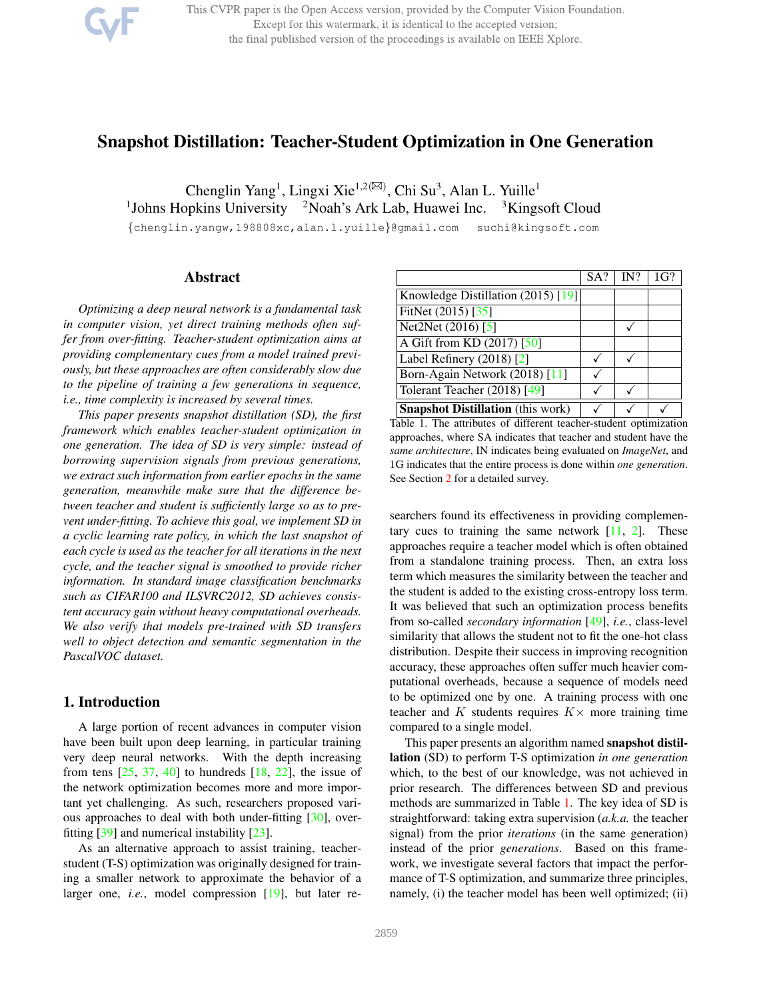This CVPR paper is the Open Access version, provided by the Computer Vision Foundation. Except for this watermark, it is identical to the accepted version; the final published version of the proceedings is available on IEEE Xplore.

# Snapshot Distillation: Teacher-Student Optimization in One Generation

Chenglin Yang<sup>1</sup>, Lingxi Xie<sup>1,2( $\boxtimes$ )</sup>, Chi Su<sup>3</sup>, Alan L. Yuille<sup>1</sup> <sup>1</sup>Johns Hopkins University <sup>2</sup>Noah's Ark Lab, Huawei Inc. <sup>3</sup>Kingsoft Cloud

{chenglin.yangw,198808xc,alan.l.yuille}@gmail.com suchi@kingsoft.com

# Abstract

*Optimizing a deep neural network is a fundamental task in computer vision, yet direct training methods often suffer from over-fitting. Teacher-student optimization aims at providing complementary cues from a model trained previously, but these approaches are often considerably slow due to the pipeline of training a few generations in sequence, i.e., time complexity is increased by several times.*

*This paper presents snapshot distillation (SD), the first framework which enables teacher-student optimization in one generation. The idea of SD is very simple: instead of borrowing supervision signals from previous generations, we extract such information from earlier epochs in the same generation, meanwhile make sure that the difference between teacher and student is sufficiently large so as to prevent under-fitting. To achieve this goal, we implement SD in a cyclic learning rate policy, in which the last snapshot of each cycle is used as the teacher for all iterations in the next cycle, and the teacher signal is smoothed to provide richer information. In standard image classification benchmarks such as CIFAR100 and ILSVRC2012, SD achieves consistent accuracy gain without heavy computational overheads. We also verify that models pre-trained with SD transfers well to object detection and semantic segmentation in the PascalVOC dataset.*

# 1. Introduction

A large portion of recent advances in computer vision have been built upon deep learning, in particular training very deep neural networks. With the depth increasing from tens  $[25, 37, 40]$  to hundreds  $[18, 22]$ , the issue of the network optimization becomes more and more important yet challenging. As such, researchers proposed various approaches to deal with both under-fitting [30], overfitting [39] and numerical instability [23].

As an alternative approach to assist training, teacherstudent (T-S) optimization was originally designed for training a smaller network to approximate the behavior of a larger one, *i.e.*, model compression [19], but later re-

|                                          | SA? | IN? | 1G? |
|------------------------------------------|-----|-----|-----|
| Knowledge Distillation (2015) [19]       |     |     |     |
| FitNet (2015) [35]                       |     |     |     |
| Net2Net (2016) [5]                       |     |     |     |
| A Gift from KD (2017) [50]               |     |     |     |
| Label Refinery $(2018)$ <sup>[2]</sup>   |     |     |     |
| Born-Again Network (2018) [11]           |     |     |     |
| Tolerant Teacher (2018) [49]             |     |     |     |
| <b>Snapshot Distillation</b> (this work) |     |     |     |

Table 1. The attributes of different teacher-student optimization approaches, where SA indicates that teacher and student have the *same architecture*, IN indicates being evaluated on *ImageNet*, and 1G indicates that the entire process is done within *one generation*. See Section 2 for a detailed survey.

searchers found its effectiveness in providing complementary cues to training the same network  $[11, 2]$ . These approaches require a teacher model which is often obtained from a standalone training process. Then, an extra loss term which measures the similarity between the teacher and the student is added to the existing cross-entropy loss term. It was believed that such an optimization process benefits from so-called *secondary information* [49], *i.e.*, class-level similarity that allows the student not to fit the one-hot class distribution. Despite their success in improving recognition accuracy, these approaches often suffer much heavier computational overheads, because a sequence of models need to be optimized one by one. A training process with one teacher and K students requires  $K \times$  more training time compared to a single model.

This paper presents an algorithm named **snapshot distil**lation (SD) to perform T-S optimization *in one generation* which, to the best of our knowledge, was not achieved in prior research. The differences between SD and previous methods are summarized in Table 1. The key idea of SD is straightforward: taking extra supervision (*a.k.a.* the teacher signal) from the prior *iterations* (in the same generation) instead of the prior *generations*. Based on this framework, we investigate several factors that impact the performance of T-S optimization, and summarize three principles, namely, (i) the teacher model has been well optimized; (ii)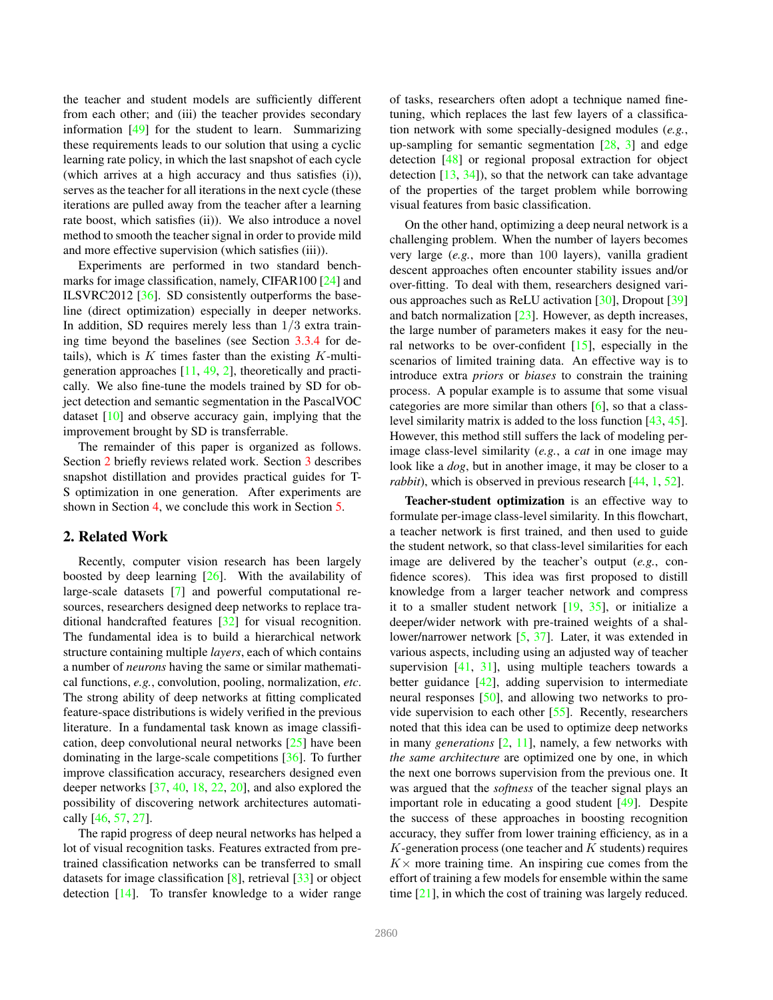the teacher and student models are sufficiently different from each other; and (iii) the teacher provides secondary information [49] for the student to learn. Summarizing these requirements leads to our solution that using a cyclic learning rate policy, in which the last snapshot of each cycle (which arrives at a high accuracy and thus satisfies (i)), serves as the teacher for all iterations in the next cycle (these iterations are pulled away from the teacher after a learning rate boost, which satisfies (ii)). We also introduce a novel method to smooth the teacher signal in order to provide mild and more effective supervision (which satisfies (iii)).

Experiments are performed in two standard benchmarks for image classification, namely, CIFAR100 [24] and ILSVRC2012 [36]. SD consistently outperforms the baseline (direct optimization) especially in deeper networks. In addition, SD requires merely less than  $1/3$  extra training time beyond the baselines (see Section 3.3.4 for details), which is  $K$  times faster than the existing  $K$ -multigeneration approaches [11, 49, 2], theoretically and practically. We also fine-tune the models trained by SD for object detection and semantic segmentation in the PascalVOC dataset [10] and observe accuracy gain, implying that the improvement brought by SD is transferrable.

The remainder of this paper is organized as follows. Section 2 briefly reviews related work. Section 3 describes snapshot distillation and provides practical guides for T-S optimization in one generation. After experiments are shown in Section 4, we conclude this work in Section 5.

# 2. Related Work

Recently, computer vision research has been largely boosted by deep learning  $[26]$ . With the availability of large-scale datasets [7] and powerful computational resources, researchers designed deep networks to replace traditional handcrafted features [32] for visual recognition. The fundamental idea is to build a hierarchical network structure containing multiple *layers*, each of which contains a number of *neurons* having the same or similar mathematical functions, *e.g.*, convolution, pooling, normalization, *etc*. The strong ability of deep networks at fitting complicated feature-space distributions is widely verified in the previous literature. In a fundamental task known as image classification, deep convolutional neural networks [25] have been dominating in the large-scale competitions [36]. To further improve classification accuracy, researchers designed even deeper networks [37, 40, 18, 22, 20], and also explored the possibility of discovering network architectures automatically [46, 57, 27].

The rapid progress of deep neural networks has helped a lot of visual recognition tasks. Features extracted from pretrained classification networks can be transferred to small datasets for image classification [8], retrieval [33] or object detection [14]. To transfer knowledge to a wider range

of tasks, researchers often adopt a technique named finetuning, which replaces the last few layers of a classification network with some specially-designed modules (*e.g.*, up-sampling for semantic segmentation [28, 3] and edge detection [48] or regional proposal extraction for object detection  $[13, 34]$ , so that the network can take advantage of the properties of the target problem while borrowing visual features from basic classification.

On the other hand, optimizing a deep neural network is a challenging problem. When the number of layers becomes very large (*e.g.*, more than 100 layers), vanilla gradient descent approaches often encounter stability issues and/or over-fitting. To deal with them, researchers designed various approaches such as ReLU activation [30], Dropout [39] and batch normalization [23]. However, as depth increases, the large number of parameters makes it easy for the neural networks to be over-confident [15], especially in the scenarios of limited training data. An effective way is to introduce extra *priors* or *biases* to constrain the training process. A popular example is to assume that some visual categories are more similar than others [6], so that a classlevel similarity matrix is added to the loss function [43, 45]. However, this method still suffers the lack of modeling perimage class-level similarity (*e.g.*, a *cat* in one image may look like a *dog*, but in another image, it may be closer to a *rabbit*), which is observed in previous research [44, 1, 52].

Teacher-student optimization is an effective way to formulate per-image class-level similarity. In this flowchart, a teacher network is first trained, and then used to guide the student network, so that class-level similarities for each image are delivered by the teacher's output (*e.g.*, confidence scores). This idea was first proposed to distill knowledge from a larger teacher network and compress it to a smaller student network  $[19, 35]$ , or initialize a deeper/wider network with pre-trained weights of a shallower/narrower network [5, 37]. Later, it was extended in various aspects, including using an adjusted way of teacher supervision  $[41, 31]$ , using multiple teachers towards a better guidance [42], adding supervision to intermediate neural responses [50], and allowing two networks to provide supervision to each other [55]. Recently, researchers noted that this idea can be used to optimize deep networks in many *generations* [2, 11], namely, a few networks with *the same architecture* are optimized one by one, in which the next one borrows supervision from the previous one. It was argued that the *softness* of the teacher signal plays an important role in educating a good student [49]. Despite the success of these approaches in boosting recognition accuracy, they suffer from lower training efficiency, as in a  $K$ -generation process (one teacher and  $K$  students) requires  $K\times$  more training time. An inspiring cue comes from the effort of training a few models for ensemble within the same time [21], in which the cost of training was largely reduced.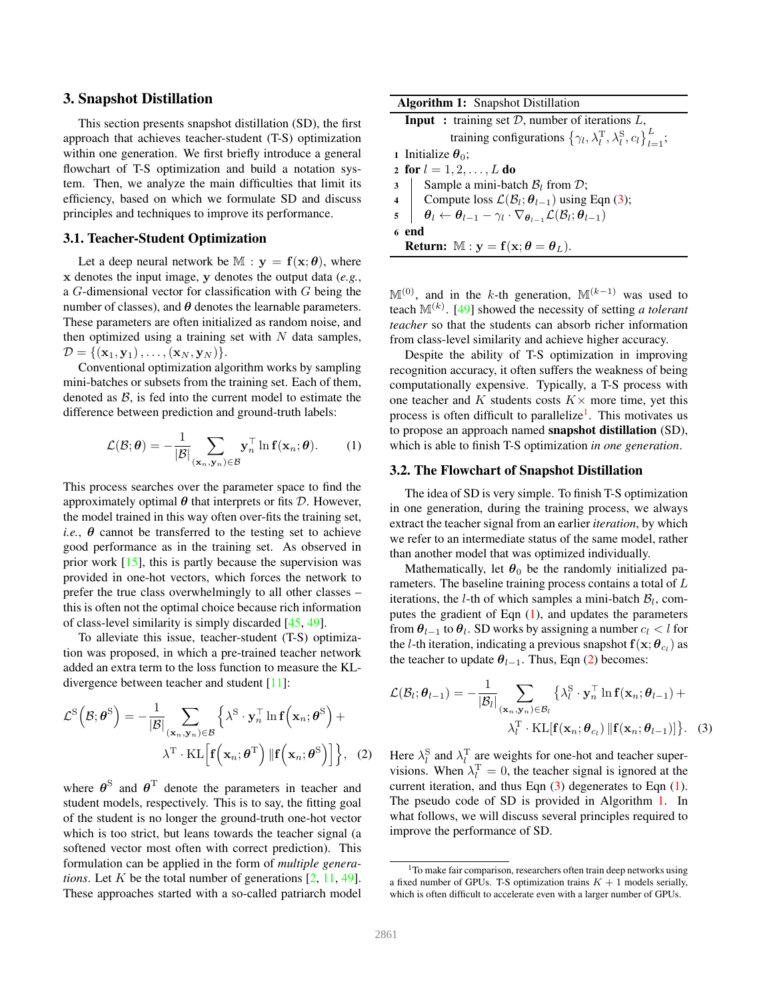# 3. Snapshot Distillation

This section presents snapshot distillation (SD), the first approach that achieves teacher-student (T-S) optimization within one generation. We first briefly introduce a general flowchart of T-S optimization and build a notation system. Then, we analyze the main difficulties that limit its efficiency, based on which we formulate SD and discuss principles and techniques to improve its performance.

# 3.1. Teacher-Student Optimization

Let a deep neural network be  $M : y = f(x; \theta)$ , where x denotes the input image, y denotes the output data (*e.g.*, a  $G$ -dimensional vector for classification with  $G$  being the number of classes), and  $\theta$  denotes the learnable parameters. These parameters are often initialized as random noise, and then optimized using a training set with  $N$  data samples,  $\mathcal{D} = \{(\mathbf{x}_1, \mathbf{y}_1), \dots, (\mathbf{x}_N, \mathbf{y}_N)\}.$ 

Conventional optimization algorithm works by sampling mini-batches or subsets from the training set. Each of them, denoted as  $\beta$ , is fed into the current model to estimate the difference between prediction and ground-truth labels:

$$
\mathcal{L}(\mathcal{B};\boldsymbol{\theta}) = -\frac{1}{|\mathcal{B}|} \sum_{(\mathbf{x}_n,\mathbf{y}_n)\in\mathcal{B}} \mathbf{y}_n^{\top} \ln \mathbf{f}(\mathbf{x}_n;\boldsymbol{\theta}).
$$
 (1)

This process searches over the parameter space to find the approximately optimal  $\theta$  that interprets or fits  $\mathcal{D}$ . However, the model trained in this way often over-fits the training set, *i.e.*,  $\theta$  cannot be transferred to the testing set to achieve good performance as in the training set. As observed in prior work [15], this is partly because the supervision was provided in one-hot vectors, which forces the network to prefer the true class overwhelmingly to all other classes – this is often not the optimal choice because rich information of class-level similarity is simply discarded [45, 49].

To alleviate this issue, teacher-student (T-S) optimization was proposed, in which a pre-trained teacher network added an extra term to the loss function to measure the KLdivergence between teacher and student [11]:

$$
\mathcal{L}^{S}(\mathcal{B};\boldsymbol{\theta}^{S}) = -\frac{1}{|\mathcal{B}|} \sum_{(\mathbf{x}_{n},\mathbf{y}_{n}) \in \mathcal{B}} \left\{ \lambda^{S} \cdot \mathbf{y}_{n}^{\top} \ln \mathbf{f}(\mathbf{x}_{n};\boldsymbol{\theta}^{S}) + \lambda^{T} \cdot \mathrm{KL}\left[\mathbf{f}(\mathbf{x}_{n};\boldsymbol{\theta}^{T}) \|\mathbf{f}(\mathbf{x}_{n};\boldsymbol{\theta}^{S})\right] \right\}, (2)
$$

where  $\boldsymbol{\theta}^{\rm S}$  and  $\boldsymbol{\theta}^{\rm T}$  denote the parameters in teacher and student models, respectively. This is to say, the fitting goal of the student is no longer the ground-truth one-hot vector which is too strict, but leans towards the teacher signal (a softened vector most often with correct prediction). This formulation can be applied in the form of *multiple generations*. Let K be the total number of generations [2, 11, 49]. These approaches started with a so-called patriarch model

| <b>Algorithm 1:</b> Snapshot Distillation                                                                                                                                                                                                      |  |  |  |  |  |
|------------------------------------------------------------------------------------------------------------------------------------------------------------------------------------------------------------------------------------------------|--|--|--|--|--|
| <b>Input</b> : training set $D$ , number of iterations $L$ ,                                                                                                                                                                                   |  |  |  |  |  |
| training configurations $\{\gamma_l, \lambda_l^{\rm T}, \lambda_l^{\rm S}, c_l\}_{l=1}^L$ ;                                                                                                                                                    |  |  |  |  |  |
| 1 Initialize $\theta_0$ ;                                                                                                                                                                                                                      |  |  |  |  |  |
| 2 for $l = 1, 2, , L$ do                                                                                                                                                                                                                       |  |  |  |  |  |
|                                                                                                                                                                                                                                                |  |  |  |  |  |
|                                                                                                                                                                                                                                                |  |  |  |  |  |
| 3<br>Sample a mini-batch $B_l$ from $D$ ;<br>4<br>Sompute loss $\mathcal{L}(\mathcal{B}_l; \theta_{l-1})$ using Eqn (3);<br>$\theta_l \leftarrow \theta_{l-1} - \gamma_l \cdot \nabla_{\theta_{l-1}} \mathcal{L}(\mathcal{B}_l; \theta_{l-1})$ |  |  |  |  |  |
| 6 end                                                                                                                                                                                                                                          |  |  |  |  |  |
| <b>Return:</b> $M : y = f(x; \theta = \theta_L)$ .                                                                                                                                                                                             |  |  |  |  |  |

 $\mathbb{M}^{(0)}$ , and in the k-th generation,  $\mathbb{M}^{(k-1)}$  was used to teach  $M^{(k)}$ . [49] showed the necessity of setting *a tolerant teacher* so that the students can absorb richer information from class-level similarity and achieve higher accuracy.

Despite the ability of T-S optimization in improving recognition accuracy, it often suffers the weakness of being computationally expensive. Typically, a T-S process with one teacher and K students costs  $K \times$  more time, yet this process is often difficult to parallelize<sup>1</sup>. This motivates us to propose an approach named snapshot distillation (SD), which is able to finish T-S optimization *in one generation*.

## 3.2. The Flowchart of Snapshot Distillation

The idea of SD is very simple. To finish T-S optimization in one generation, during the training process, we always extract the teacher signal from an earlier *iteration*, by which we refer to an intermediate status of the same model, rather than another model that was optimized individually.

Mathematically, let  $\theta_0$  be the randomly initialized parameters. The baseline training process contains a total of L iterations, the *l*-th of which samples a mini-batch  $B_l$ , computes the gradient of Eqn (1), and updates the parameters from  $\theta_{l-1}$  to  $\theta_l$ . SD works by assigning a number  $c_l < l$  for the *l*-th iteration, indicating a previous snapshot  $f(\mathbf{x}; \theta_{c_l})$  as the teacher to update  $\theta_{l-1}$ . Thus, Eqn (2) becomes:

$$
\mathcal{L}(\mathcal{B}_{l}; \boldsymbol{\theta}_{l-1}) = -\frac{1}{|\mathcal{B}_{l}|} \sum_{(\mathbf{x}_{n}, \mathbf{y}_{n}) \in \mathcal{B}_{l}} \left\{ \lambda_{l}^{\mathrm{S}} \cdot \mathbf{y}_{n}^{\top} \ln \mathbf{f}(\mathbf{x}_{n}; \boldsymbol{\theta}_{l-1}) + \lambda_{l}^{\mathrm{T}} \cdot \mathrm{KL}[\mathbf{f}(\mathbf{x}_{n}; \boldsymbol{\theta}_{c_{l}}) \| \mathbf{f}(\mathbf{x}_{n}; \boldsymbol{\theta}_{l-1})] \right\}.
$$
 (3)

Here  $\lambda_l^{\rm S}$  and  $\lambda_l^{\rm T}$  are weights for one-hot and teacher supervisions. When  $\lambda_l^{\mathrm{T}} = 0$ , the teacher signal is ignored at the current iteration, and thus Eqn (3) degenerates to Eqn (1). The pseudo code of SD is provided in Algorithm 1. In what follows, we will discuss several principles required to improve the performance of SD.

<sup>&</sup>lt;sup>1</sup>To make fair comparison, researchers often train deep networks using a fixed number of GPUs. T-S optimization trains  $K + 1$  models serially, which is often difficult to accelerate even with a larger number of GPUs.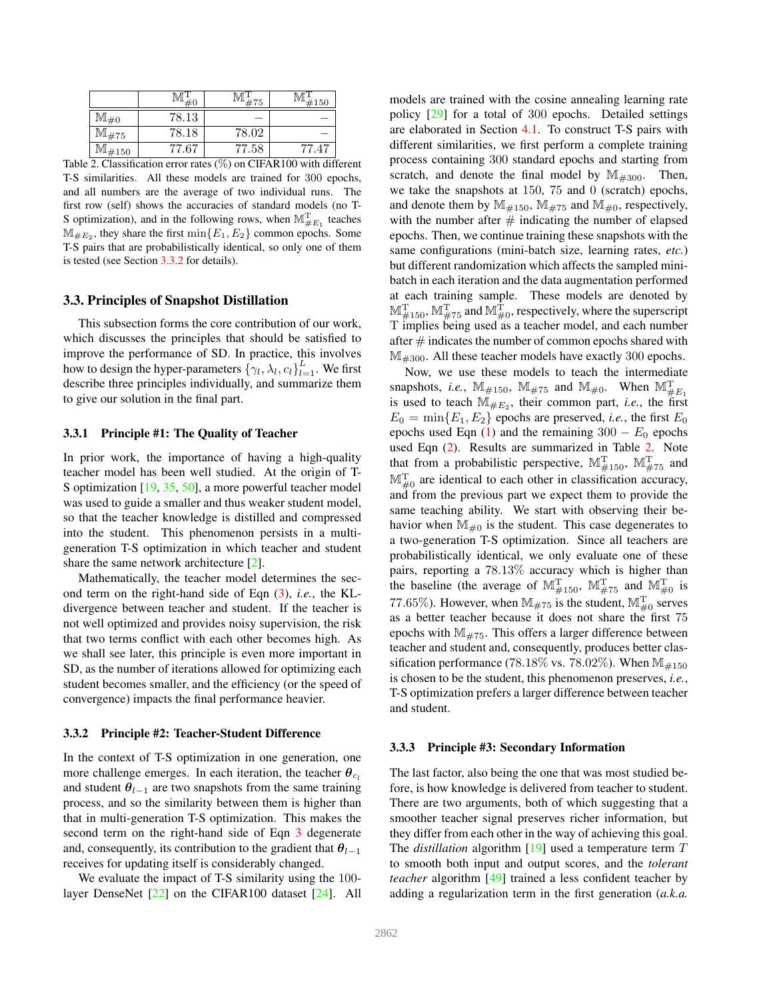|                                 |         | 75         | 4150                           |
|---------------------------------|---------|------------|--------------------------------|
|                                 | 78.13   |            |                                |
| ™#75                            | 78.18   | 78.02      |                                |
| $\mathbb{M}_{\#150}$            | 77.67   | 77.58      |                                |
| $\cdot$ $\sim$<br>$\sim$ $\sim$ | $\cdot$ | $\sqrt{M}$ | 1.00<br>GIDAD100<br>$\cdot$ .1 |

Table 2. Classification error rates (%) on CIFAR100 with different T-S similarities. All these models are trained for 300 epochs, and all numbers are the average of two individual runs. The first row (self) shows the accuracies of standard models (no T-S optimization), and in the following rows, when  $\mathbb{M}_{\#E_1}^T$  teaches  $\mathbb{M}_{\#E_2}$ , they share the first  $\min\{E_1, E_2\}$  common epochs. Some T-S pairs that are probabilistically identical, so only one of them is tested (see Section 3.3.2 for details).

## 3.3. Principles of Snapshot Distillation

This subsection forms the core contribution of our work, which discusses the principles that should be satisfied to improve the performance of SD. In practice, this involves how to design the hyper-parameters  $\{\gamma_l, \lambda_l, c_l\}_{l=1}^L$ . We first describe three principles individually, and summarize them to give our solution in the final part.

## 3.3.1 Principle #1: The Quality of Teacher

In prior work, the importance of having a high-quality teacher model has been well studied. At the origin of T-S optimization [19, 35, 50], a more powerful teacher model was used to guide a smaller and thus weaker student model, so that the teacher knowledge is distilled and compressed into the student. This phenomenon persists in a multigeneration T-S optimization in which teacher and student share the same network architecture [2].

Mathematically, the teacher model determines the second term on the right-hand side of Eqn (3), *i.e.*, the KLdivergence between teacher and student. If the teacher is not well optimized and provides noisy supervision, the risk that two terms conflict with each other becomes high. As we shall see later, this principle is even more important in SD, as the number of iterations allowed for optimizing each student becomes smaller, and the efficiency (or the speed of convergence) impacts the final performance heavier.

### 3.3.2 Principle #2: Teacher-Student Difference

In the context of T-S optimization in one generation, one more challenge emerges. In each iteration, the teacher  $\theta_{c}$ and student  $\theta_{l-1}$  are two snapshots from the same training process, and so the similarity between them is higher than that in multi-generation T-S optimization. This makes the second term on the right-hand side of Eqn 3 degenerate and, consequently, its contribution to the gradient that  $\theta_{l-1}$ receives for updating itself is considerably changed.

We evaluate the impact of T-S similarity using the 100layer DenseNet [22] on the CIFAR100 dataset [24]. All models are trained with the cosine annealing learning rate policy [29] for a total of 300 epochs. Detailed settings are elaborated in Section 4.1. To construct T-S pairs with different similarities, we first perform a complete training process containing 300 standard epochs and starting from scratch, and denote the final model by  $\mathbb{M}_{\#300}$ . Then, we take the snapshots at 150, 75 and 0 (scratch) epochs, and denote them by  $\mathbb{M}_{\#150}$ ,  $\mathbb{M}_{\#75}$  and  $\mathbb{M}_{\#0}$ , respectively, with the number after  $#$  indicating the number of elapsed epochs. Then, we continue training these snapshots with the same configurations (mini-batch size, learning rates, *etc.*) but different randomization which affects the sampled minibatch in each iteration and the data augmentation performed at each training sample. These models are denoted by  $\mathbb{M}^{\mathrm{T}}_{\# 150}$ ,  $\mathbb{M}^{\mathrm{T}}_{\# 75}$  and  $\mathbb{M}^{\mathrm{T}}_{\# 0}$ , respectively, where the superscript T implies being used as a teacher model, and each number after  $#$  indicates the number of common epochs shared with  $\mathbb{M}_{4300}$ . All these teacher models have exactly 300 epochs.

Now, we use these models to teach the intermediate snapshots, *i.e.*,  $\mathbb{M}_{\#150}$ ,  $\mathbb{M}_{\#75}$  and  $\mathbb{M}_{\#0}$ . When  $\mathbb{M}_{\#E_1}^T$ is used to teach  $\mathbb{M}_{\#E_2}$ , their common part, *i.e.*, the first  $E_0 = \min\{E_1, E_2\}$  epochs are preserved, *i.e.*, the first  $E_0$ epochs used Eqn (1) and the remaining  $300 - E_0$  epochs used Eqn (2). Results are summarized in Table 2. Note that from a probabilistic perspective,  $\mathbb{M}^{\mathrm{T}}_{\#150}$ ,  $\mathbb{M}^{\mathrm{T}}_{\#75}$  and  $\mathbb{M}_{\neq 0}^{T}$  are identical to each other in classification accuracy, and from the previous part we expect them to provide the same teaching ability. We start with observing their behavior when  $M_{\mu 0}$  is the student. This case degenerates to a two-generation T-S optimization. Since all teachers are probabilistically identical, we only evaluate one of these pairs, reporting a 78.13% accuracy which is higher than the baseline (the average of  $\mathbb{M}^{\mathrm{T}}_{\#150}$ ,  $\mathbb{M}^{\mathrm{T}}_{\#75}$  and  $\mathbb{M}^{\mathrm{T}}_{\#0}$  is 77.65%). However, when  $M_{\#75}$  is the student,  $M_{\#0}^{T}$  serves as a better teacher because it does not share the first 75 epochs with  $M_{\#75}$ . This offers a larger difference between teacher and student and, consequently, produces better classification performance (78.18% vs. 78.02%). When  $M_{\text{\#150}}$ is chosen to be the student, this phenomenon preserves, *i.e.*, T-S optimization prefers a larger difference between teacher and student.

### 3.3.3 Principle #3: Secondary Information

The last factor, also being the one that was most studied before, is how knowledge is delivered from teacher to student. There are two arguments, both of which suggesting that a smoother teacher signal preserves richer information, but they differ from each other in the way of achieving this goal. The *distillation* algorithm [19] used a temperature term T to smooth both input and output scores, and the *tolerant teacher* algorithm [49] trained a less confident teacher by adding a regularization term in the first generation (*a.k.a.*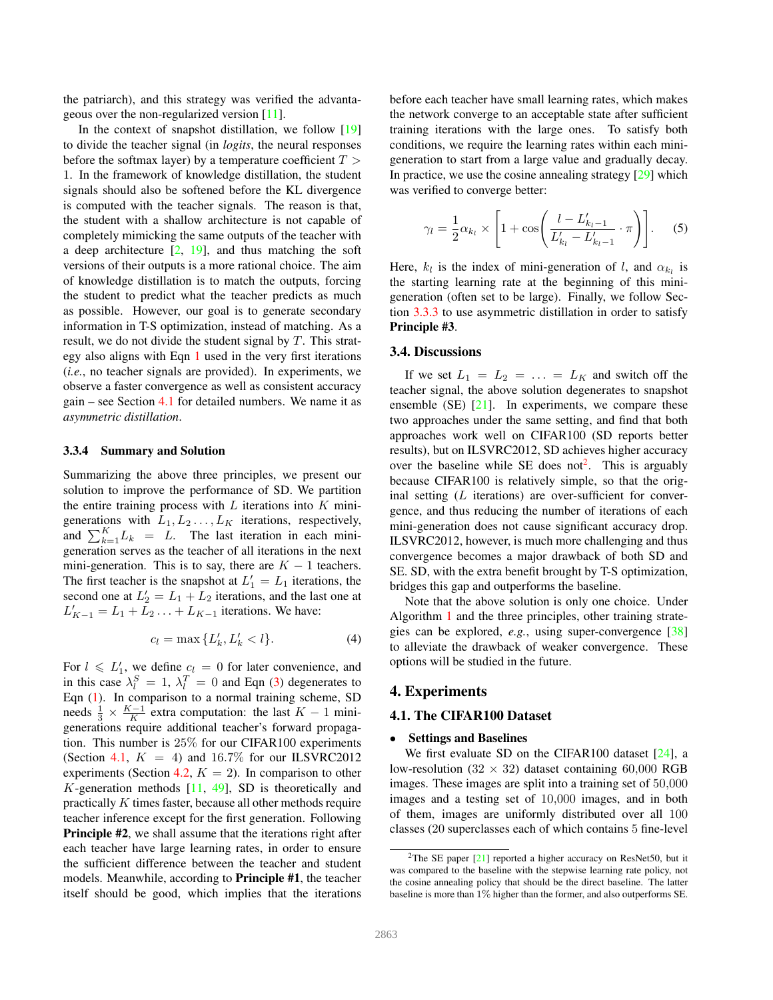the patriarch), and this strategy was verified the advantageous over the non-regularized version [11].

In the context of snapshot distillation, we follow [19] to divide the teacher signal (in *logits*, the neural responses before the softmax layer) by a temperature coefficient  $T >$ 1. In the framework of knowledge distillation, the student signals should also be softened before the KL divergence is computed with the teacher signals. The reason is that, the student with a shallow architecture is not capable of completely mimicking the same outputs of the teacher with a deep architecture  $[2, 19]$ , and thus matching the soft versions of their outputs is a more rational choice. The aim of knowledge distillation is to match the outputs, forcing the student to predict what the teacher predicts as much as possible. However, our goal is to generate secondary information in T-S optimization, instead of matching. As a result, we do not divide the student signal by  $T$ . This strategy also aligns with Eqn 1 used in the very first iterations (*i.e.*, no teacher signals are provided). In experiments, we observe a faster convergence as well as consistent accuracy gain – see Section 4.1 for detailed numbers. We name it as *asymmetric distillation*.

# 3.3.4 Summary and Solution

Summarizing the above three principles, we present our solution to improve the performance of SD. We partition the entire training process with  $L$  iterations into  $K$  minigenerations with  $L_1, L_2, \ldots, L_K$  iterations, respectively, and  $\sum_{k=1}^{K} L_k = L$ . The last iteration in each minigeneration serves as the teacher of all iterations in the next mini-generation. This is to say, there are  $K - 1$  teachers. The first teacher is the snapshot at  $L'_1 = L_1$  iterations, the second one at  $L'_2 = L_1 + L_2$  iterations, and the last one at  $L'_{K-1} = L_1 + \overline{L}_2 + \ldots + L_{K-1}$  iterations. We have:

$$
c_l = \max\{L'_k, L'_k < l\}.\tag{4}
$$

For  $l \le L'_1$ , we define  $c_l = 0$  for later convenience, and in this case  $\lambda_l^S = 1$ ,  $\lambda_l^T = 0$  and Eqn (3) degenerates to Eqn (1). In comparison to a normal training scheme, SD needs  $\frac{1}{3} \times \frac{K-1}{K}$  extra computation: the last  $K-1$  minigenerations require additional teacher's forward propagation. This number is 25% for our CIFAR100 experiments (Section 4.1,  $K = 4$ ) and 16.7% for our ILSVRC2012 experiments (Section 4.2,  $K = 2$ ). In comparison to other K-generation methods  $[11, 49]$ , SD is theoretically and practically K times faster, because all other methods require teacher inference except for the first generation. Following Principle #2, we shall assume that the iterations right after each teacher have large learning rates, in order to ensure the sufficient difference between the teacher and student models. Meanwhile, according to Principle #1, the teacher itself should be good, which implies that the iterations

before each teacher have small learning rates, which makes the network converge to an acceptable state after sufficient training iterations with the large ones. To satisfy both conditions, we require the learning rates within each minigeneration to start from a large value and gradually decay. In practice, we use the cosine annealing strategy [29] which was verified to converge better:

$$
\gamma_l = \frac{1}{2} \alpha_{k_l} \times \left[ 1 + \cos \left( \frac{l - L'_{k_l - 1}}{L'_{k_l} - L'_{k_l - 1}} \cdot \pi \right) \right].
$$
 (5)

Here,  $k_l$  is the index of mini-generation of l, and  $\alpha_{k_l}$  is the starting learning rate at the beginning of this minigeneration (often set to be large). Finally, we follow Section 3.3.3 to use asymmetric distillation in order to satisfy Principle #3.

#### 3.4. Discussions

If we set  $L_1 = L_2 = \ldots = L_K$  and switch off the teacher signal, the above solution degenerates to snapshot ensemble  $(SE)$  [21]. In experiments, we compare these two approaches under the same setting, and find that both approaches work well on CIFAR100 (SD reports better results), but on ILSVRC2012, SD achieves higher accuracy over the baseline while SE does not<sup>2</sup>. This is arguably because CIFAR100 is relatively simple, so that the original setting  $(L)$  iterations) are over-sufficient for convergence, and thus reducing the number of iterations of each mini-generation does not cause significant accuracy drop. ILSVRC2012, however, is much more challenging and thus convergence becomes a major drawback of both SD and SE. SD, with the extra benefit brought by T-S optimization, bridges this gap and outperforms the baseline.

Note that the above solution is only one choice. Under Algorithm 1 and the three principles, other training strategies can be explored, *e.g.*, using super-convergence [38] to alleviate the drawback of weaker convergence. These options will be studied in the future.

# 4. Experiments

# 4.1. The CIFAR100 Dataset

#### • Settings and Baselines

We first evaluate SD on the CIFAR100 dataset [24], a low-resolution (32  $\times$  32) dataset containing 60,000 RGB images. These images are split into a training set of 50,000 images and a testing set of 10,000 images, and in both of them, images are uniformly distributed over all 100 classes (20 superclasses each of which contains 5 fine-level

<sup>2</sup>The SE paper [21] reported a higher accuracy on ResNet50, but it was compared to the baseline with the stepwise learning rate policy, not the cosine annealing policy that should be the direct baseline. The latter baseline is more than 1% higher than the former, and also outperforms SE.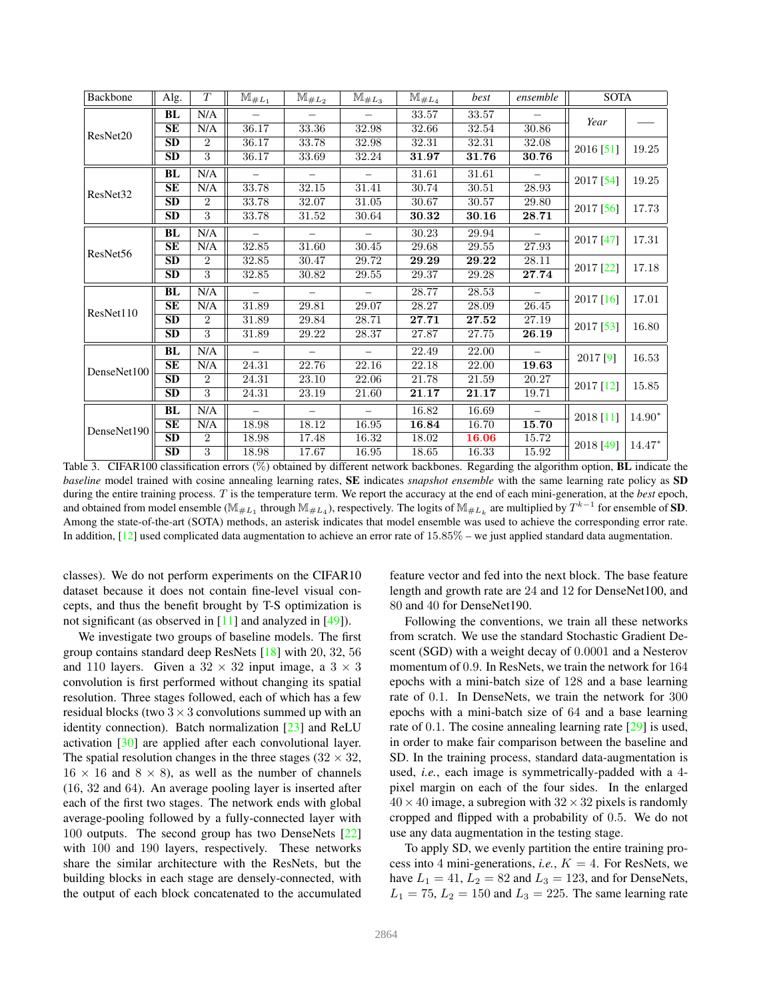| Backbone    | Alg.      | T              | $\mathbb{M}_{\#L_{1}}$ | $\mathbb{M}_{\#L_{2}}$ | $\mathbb{M}_{\#L_3}$ | $\mathbb{M}_{\#L_4}$ | best  | ensemble | <b>SOTA</b> |          |  |
|-------------|-----------|----------------|------------------------|------------------------|----------------------|----------------------|-------|----------|-------------|----------|--|
|             | BL        | N/A            |                        |                        |                      | 33.57                | 33.57 |          | Year        |          |  |
| ResNet20    | SE        | N/A            | 36.17                  | 33.36                  | 32.98                | 32.66                | 32.54 | 30.86    |             |          |  |
|             | <b>SD</b> | $\overline{2}$ | 36.17                  | 33.78                  | 32.98                | 32.31                | 32.31 | 32.08    |             | 19.25    |  |
|             | <b>SD</b> | 3              | 36.17                  | 33.69                  | 32.24                | 31.97                | 31.76 | 30.76    | 2016 [51]   |          |  |
|             | <b>BL</b> | N/A            |                        |                        |                      | 31.61                | 31.61 |          | 2017 [54]   | 19.25    |  |
| ResNet32    | SE        | N/A            | 33.78                  | 32.15                  | 31.41                | 30.74                | 30.51 | 28.93    |             |          |  |
|             | <b>SD</b> | $\overline{2}$ | 33.78                  | 32.07                  | 31.05                | 30.67                | 30.57 | 29.80    |             |          |  |
|             | <b>SD</b> | 3              | 33.78                  | 31.52                  | 30.64                | 30.32                | 30.16 | 28.71    | 2017 [56]   | 17.73    |  |
|             | <b>BL</b> | N/A            |                        |                        |                      | 30.23                | 29.94 |          |             |          |  |
| ResNet56    | <b>SE</b> | N/A            | 32.85                  | 31.60                  | 30.45                | 29.68                | 29.55 | 27.93    | 2017 [47]   | 17.31    |  |
|             | <b>SD</b> | $\overline{2}$ | 32.85                  | 30.47                  | 29.72                | 29.29                | 29.22 | 28.11    | 2017 [22]   | 17.18    |  |
|             | <b>SD</b> | 3              | 32.85                  | 30.82                  | 29.55                | 29.37                | 29.28 | 27.74    |             |          |  |
|             | BL        | N/A            |                        |                        |                      | 28.77                | 28.53 |          | 2017 [16]   | 17.01    |  |
| ResNet110   | SE        | N/A            | 31.89                  | 29.81                  | 29.07                | 28.27                | 28.09 | 26.45    |             |          |  |
|             | <b>SD</b> | $\mathfrak{D}$ | 31.89                  | 29.84                  | 28.71                | 27.71                | 27.52 | 27.19    |             | 16.80    |  |
|             | <b>SD</b> | 3              | 31.89                  | 29.22                  | 28.37                | 27.87                | 27.75 | 26.19    | 2017 [53]   |          |  |
|             | <b>BL</b> | N/A            |                        |                        |                      | 22.49                | 22.00 |          | 2017 [9]    | 16.53    |  |
| DenseNet100 | SE        | N/A            | 24.31                  | 22.76                  | 22.16                | 22.18                | 22.00 | 19.63    |             |          |  |
|             | <b>SD</b> | $\overline{2}$ | 24.31                  | 23.10                  | 22.06                | 21.78                | 21.59 | 20.27    | 2017 [12]   | 15.85    |  |
|             | <b>SD</b> | 3              | 24.31                  | 23.19                  | 21.60                | 21.17                | 21.17 | 19.71    |             |          |  |
|             | <b>BL</b> | N/A            |                        |                        |                      | 16.82                | 16.69 |          | 2018 [11]   | $14.90*$ |  |
| DenseNet190 | SE        | N/A            | 18.98                  | 18.12                  | 16.95                | 16.84                | 16.70 | 15.70    |             |          |  |
|             | <b>SD</b> | $\overline{2}$ | 18.98                  | 17.48                  | 16.32                | 18.02                | 16.06 | 15.72    |             | $14.47*$ |  |
|             | <b>SD</b> | 3              | 18.98                  | 17.67                  | 16.95                | 18.65                | 16.33 | 15.92    | 2018 [49]   |          |  |

Table 3. CIFAR100 classification errors (%) obtained by different network backbones. Regarding the algorithm option, **BL** indicate the *baseline* model trained with cosine annealing learning rates, SE indicates *snapshot ensemble* with the same learning rate policy as SD during the entire training process. T is the temperature term. We report the accuracy at the end of each mini-generation, at the *best* epoch, and obtained from model ensemble ( $\mathbb{M}_{\#L_1}$  through  $\mathbb{M}_{\#L_4}$ ), respectively. The logits of  $\mathbb{M}_{\#L_k}$  are multiplied by  $T^{k-1}$  for ensemble of SD. Among the state-of-the-art (SOTA) methods, an asterisk indicates that model ensemble was used to achieve the corresponding error rate. In addition, [12] used complicated data augmentation to achieve an error rate of 15.85% – we just applied standard data augmentation.

classes). We do not perform experiments on the CIFAR10 dataset because it does not contain fine-level visual concepts, and thus the benefit brought by T-S optimization is not significant (as observed in [11] and analyzed in [49]).

We investigate two groups of baseline models. The first group contains standard deep ResNets [18] with 20, 32, 56 and 110 layers. Given a  $32 \times 32$  input image, a  $3 \times 3$ convolution is first performed without changing its spatial resolution. Three stages followed, each of which has a few residual blocks (two  $3 \times 3$  convolutions summed up with an identity connection). Batch normalization [23] and ReLU activation [30] are applied after each convolutional layer. The spatial resolution changes in the three stages ( $32 \times 32$ ,  $16 \times 16$  and  $8 \times 8$ ), as well as the number of channels (16, 32 and 64). An average pooling layer is inserted after each of the first two stages. The network ends with global average-pooling followed by a fully-connected layer with 100 outputs. The second group has two DenseNets [22] with 100 and 190 layers, respectively. These networks share the similar architecture with the ResNets, but the building blocks in each stage are densely-connected, with the output of each block concatenated to the accumulated

feature vector and fed into the next block. The base feature length and growth rate are 24 and 12 for DenseNet100, and 80 and 40 for DenseNet190.

Following the conventions, we train all these networks from scratch. We use the standard Stochastic Gradient Descent (SGD) with a weight decay of 0.0001 and a Nesterov momentum of 0.9. In ResNets, we train the network for 164 epochs with a mini-batch size of 128 and a base learning rate of 0.1. In DenseNets, we train the network for 300 epochs with a mini-batch size of 64 and a base learning rate of 0.1. The cosine annealing learning rate [29] is used, in order to make fair comparison between the baseline and SD. In the training process, standard data-augmentation is used, *i.e.*, each image is symmetrically-padded with a 4 pixel margin on each of the four sides. In the enlarged  $40 \times 40$  image, a subregion with  $32 \times 32$  pixels is randomly cropped and flipped with a probability of 0.5. We do not use any data augmentation in the testing stage.

To apply SD, we evenly partition the entire training process into 4 mini-generations, *i.e.*,  $K = 4$ . For ResNets, we have  $L_1 = 41, L_2 = 82$  and  $L_3 = 123$ , and for DenseNets,  $L_1 = 75$ ,  $L_2 = 150$  and  $L_3 = 225$ . The same learning rate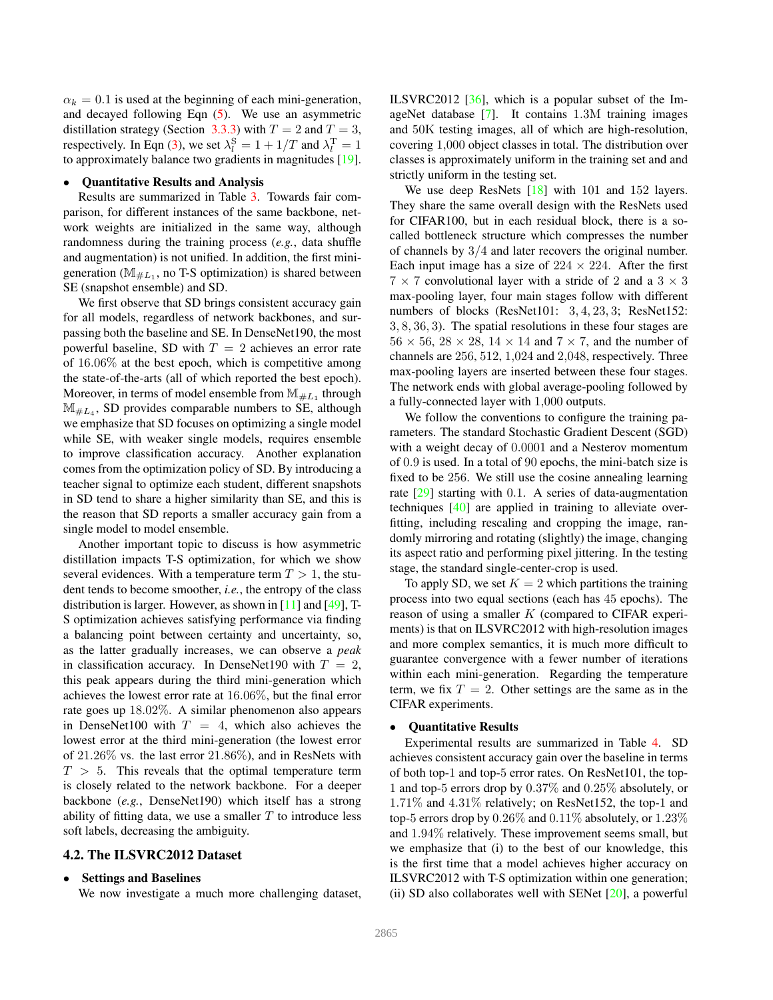$\alpha_k = 0.1$  is used at the beginning of each mini-generation, and decayed following Eqn (5). We use an asymmetric distillation strategy (Section 3.3.3) with  $T = 2$  and  $T = 3$ , respectively. In Eqn (3), we set  $\lambda_l^{\rm S} = 1 + 1/T$  and  $\lambda_l^{\rm T} = 1$ to approximately balance two gradients in magnitudes [19].

#### • Quantitative Results and Analysis

Results are summarized in Table 3. Towards fair comparison, for different instances of the same backbone, network weights are initialized in the same way, although randomness during the training process (*e.g.*, data shuffle and augmentation) is not unified. In addition, the first minigeneration ( $M_{\#L_1}$ , no T-S optimization) is shared between SE (snapshot ensemble) and SD.

We first observe that SD brings consistent accuracy gain for all models, regardless of network backbones, and surpassing both the baseline and SE. In DenseNet190, the most powerful baseline, SD with  $T = 2$  achieves an error rate of 16.06% at the best epoch, which is competitive among the state-of-the-arts (all of which reported the best epoch). Moreover, in terms of model ensemble from  $\mathbb{M}_{\#L_1}$  through  $\mathbb{M}_{\#L_4}$ , SD provides comparable numbers to SE, although we emphasize that SD focuses on optimizing a single model while SE, with weaker single models, requires ensemble to improve classification accuracy. Another explanation comes from the optimization policy of SD. By introducing a teacher signal to optimize each student, different snapshots in SD tend to share a higher similarity than SE, and this is the reason that SD reports a smaller accuracy gain from a single model to model ensemble.

Another important topic to discuss is how asymmetric distillation impacts T-S optimization, for which we show several evidences. With a temperature term  $T > 1$ , the student tends to become smoother, *i.e.*, the entropy of the class distribution is larger. However, as shown in [11] and [49], T-S optimization achieves satisfying performance via finding a balancing point between certainty and uncertainty, so, as the latter gradually increases, we can observe a *peak* in classification accuracy. In DenseNet190 with  $T = 2$ , this peak appears during the third mini-generation which achieves the lowest error rate at 16.06%, but the final error rate goes up 18.02%. A similar phenomenon also appears in DenseNet100 with  $T = 4$ , which also achieves the lowest error at the third mini-generation (the lowest error of 21.26% vs. the last error 21.86%), and in ResNets with  $T > 5$ . This reveals that the optimal temperature term is closely related to the network backbone. For a deeper backbone (*e.g.*, DenseNet190) which itself has a strong ability of fitting data, we use a smaller  $T$  to introduce less soft labels, decreasing the ambiguity.

### 4.2. The ILSVRC2012 Dataset

# • Settings and Baselines

We now investigate a much more challenging dataset,

ILSVRC2012 [36], which is a popular subset of the ImageNet database [7]. It contains 1.3M training images and 50K testing images, all of which are high-resolution, covering 1,000 object classes in total. The distribution over classes is approximately uniform in the training set and and strictly uniform in the testing set.

We use deep ResNets [18] with 101 and 152 layers. They share the same overall design with the ResNets used for CIFAR100, but in each residual block, there is a socalled bottleneck structure which compresses the number of channels by 3/4 and later recovers the original number. Each input image has a size of  $224 \times 224$ . After the first  $7 \times 7$  convolutional layer with a stride of 2 and a  $3 \times 3$ max-pooling layer, four main stages follow with different numbers of blocks (ResNet101: 3, 4, 23, 3; ResNet152: 3, 8, 36, 3). The spatial resolutions in these four stages are  $56 \times 56$ ,  $28 \times 28$ ,  $14 \times 14$  and  $7 \times 7$ , and the number of channels are 256, 512, 1,024 and 2,048, respectively. Three max-pooling layers are inserted between these four stages. The network ends with global average-pooling followed by a fully-connected layer with 1,000 outputs.

We follow the conventions to configure the training parameters. The standard Stochastic Gradient Descent (SGD) with a weight decay of 0.0001 and a Nesterov momentum of 0.9 is used. In a total of 90 epochs, the mini-batch size is fixed to be 256. We still use the cosine annealing learning rate [29] starting with 0.1. A series of data-augmentation techniques [40] are applied in training to alleviate overfitting, including rescaling and cropping the image, randomly mirroring and rotating (slightly) the image, changing its aspect ratio and performing pixel jittering. In the testing stage, the standard single-center-crop is used.

To apply SD, we set  $K = 2$  which partitions the training process into two equal sections (each has 45 epochs). The reason of using a smaller  $K$  (compared to CIFAR experiments) is that on ILSVRC2012 with high-resolution images and more complex semantics, it is much more difficult to guarantee convergence with a fewer number of iterations within each mini-generation. Regarding the temperature term, we fix  $T = 2$ . Other settings are the same as in the CIFAR experiments.

# • Quantitative Results

Experimental results are summarized in Table 4. SD achieves consistent accuracy gain over the baseline in terms of both top-1 and top-5 error rates. On ResNet101, the top-1 and top-5 errors drop by 0.37% and 0.25% absolutely, or 1.71% and 4.31% relatively; on ResNet152, the top-1 and top-5 errors drop by  $0.26\%$  and  $0.11\%$  absolutely, or  $1.23\%$ and 1.94% relatively. These improvement seems small, but we emphasize that (i) to the best of our knowledge, this is the first time that a model achieves higher accuracy on ILSVRC2012 with T-S optimization within one generation; (ii) SD also collaborates well with SENet  $[20]$ , a powerful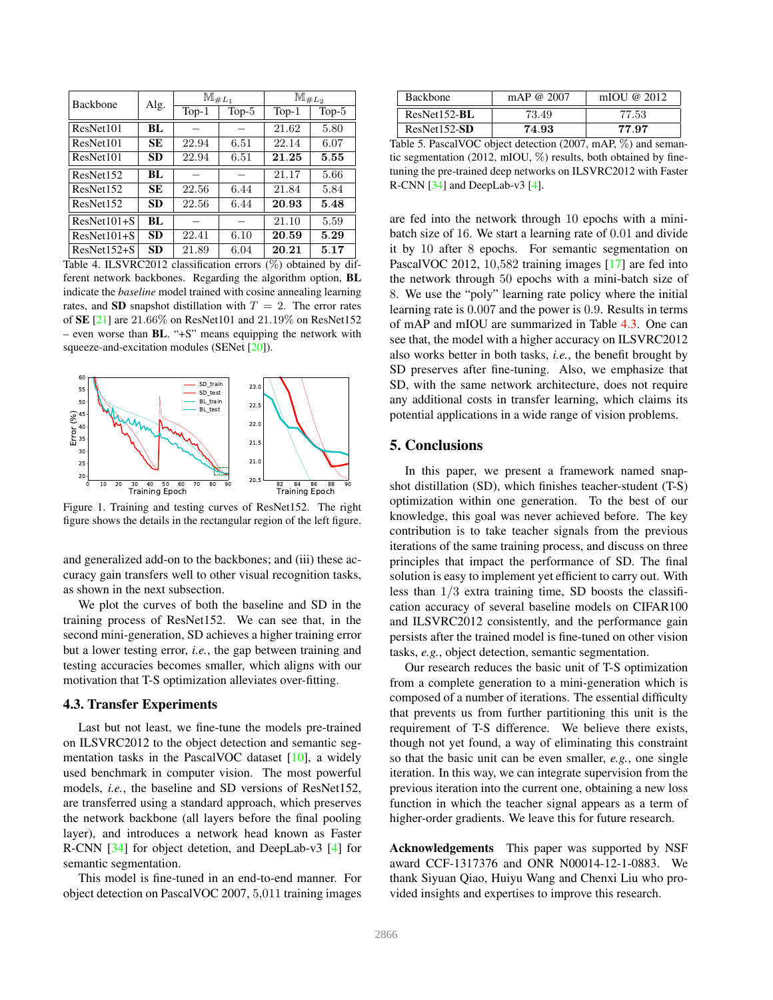| <b>Backbone</b> | Alg.      | $M_{\#L_1}$ |         | $\mathbb{M}_{\#L_2}$ |         |  |
|-----------------|-----------|-------------|---------|----------------------|---------|--|
|                 |           | $Top-1$     | $Top-5$ | $Top-1$              | $Top-5$ |  |
| ResNet101       | BL        |             |         | 21.62                | 5.80    |  |
| ResNet101       | <b>SE</b> | 22.94       | 6.51    | 22.14                | 6.07    |  |
| ResNet101       | <b>SD</b> | 22.94       | 6.51    | 21.25                | 5.55    |  |
| ResNet152       | BL        |             |         | 21.17                | 5.66    |  |
| ResNet152       | <b>SE</b> | 22.56       | 6.44    | 21.84                | 5.84    |  |
| ResNet152       | <b>SD</b> | 22.56       | 6.44    | 20.93                | 5.48    |  |
| $ResNet101 + S$ | BL        |             |         | 21.10                | 5.59    |  |
| $ResNet101+S$   | <b>SD</b> | 22.41       | 6.10    | 20.59                | 5.29    |  |
| $ResNet152+S$   | <b>SD</b> | 21.89       | 6.04    | 20.21                | 5.17    |  |

Table 4. ILSVRC2012 classification errors (%) obtained by different network backbones. Regarding the algorithm option, BL indicate the *baseline* model trained with cosine annealing learning rates, and **SD** snapshot distillation with  $T = 2$ . The error rates of SE [21] are 21.66% on ResNet101 and 21.19% on ResNet152 – even worse than BL. "+S" means equipping the network with squeeze-and-excitation modules (SENet [20]).



Figure 1. Training and testing curves of ResNet152. The right figure shows the details in the rectangular region of the left figure.

and generalized add-on to the backbones; and (iii) these accuracy gain transfers well to other visual recognition tasks, as shown in the next subsection.

We plot the curves of both the baseline and SD in the training process of ResNet152. We can see that, in the second mini-generation, SD achieves a higher training error but a lower testing error, *i.e.*, the gap between training and testing accuracies becomes smaller, which aligns with our motivation that T-S optimization alleviates over-fitting.

## 4.3. Transfer Experiments

Last but not least, we fine-tune the models pre-trained on ILSVRC2012 to the object detection and semantic segmentation tasks in the PascalVOC dataset [10], a widely used benchmark in computer vision. The most powerful models, *i.e.*, the baseline and SD versions of ResNet152, are transferred using a standard approach, which preserves the network backbone (all layers before the final pooling layer), and introduces a network head known as Faster R-CNN [34] for object detetion, and DeepLab-v3 [4] for semantic segmentation.

This model is fine-tuned in an end-to-end manner. For object detection on PascalVOC 2007, 5,011 training images

| <b>Backbone</b> | mAP @ 2007 | mIOU @ $2012$ |
|-----------------|------------|---------------|
| $ResNet152-BL$  | 73.49      | 77.53         |
| $ResNet152-SD$  | 74.93      | 77.97         |

Table 5. PascalVOC object detection (2007, mAP, %) and semantic segmentation (2012, mIOU,  $\%$ ) results, both obtained by finetuning the pre-trained deep networks on ILSVRC2012 with Faster R-CNN [34] and DeepLab-v3 [4].

are fed into the network through 10 epochs with a minibatch size of 16. We start a learning rate of 0.01 and divide it by 10 after 8 epochs. For semantic segmentation on PascalVOC 2012, 10,582 training images [17] are fed into the network through 50 epochs with a mini-batch size of 8. We use the "poly" learning rate policy where the initial learning rate is 0.007 and the power is 0.9. Results in terms of mAP and mIOU are summarized in Table 4.3. One can see that, the model with a higher accuracy on ILSVRC2012 also works better in both tasks, *i.e.*, the benefit brought by SD preserves after fine-tuning. Also, we emphasize that SD, with the same network architecture, does not require any additional costs in transfer learning, which claims its potential applications in a wide range of vision problems.

# 5. Conclusions

In this paper, we present a framework named snapshot distillation (SD), which finishes teacher-student (T-S) optimization within one generation. To the best of our knowledge, this goal was never achieved before. The key contribution is to take teacher signals from the previous iterations of the same training process, and discuss on three principles that impact the performance of SD. The final solution is easy to implement yet efficient to carry out. With less than 1/3 extra training time, SD boosts the classification accuracy of several baseline models on CIFAR100 and ILSVRC2012 consistently, and the performance gain persists after the trained model is fine-tuned on other vision tasks, *e.g.*, object detection, semantic segmentation.

Our research reduces the basic unit of T-S optimization from a complete generation to a mini-generation which is composed of a number of iterations. The essential difficulty that prevents us from further partitioning this unit is the requirement of T-S difference. We believe there exists, though not yet found, a way of eliminating this constraint so that the basic unit can be even smaller, *e.g.*, one single iteration. In this way, we can integrate supervision from the previous iteration into the current one, obtaining a new loss function in which the teacher signal appears as a term of higher-order gradients. We leave this for future research.

Acknowledgements This paper was supported by NSF award CCF-1317376 and ONR N00014-12-1-0883. We thank Siyuan Qiao, Huiyu Wang and Chenxi Liu who provided insights and expertises to improve this research.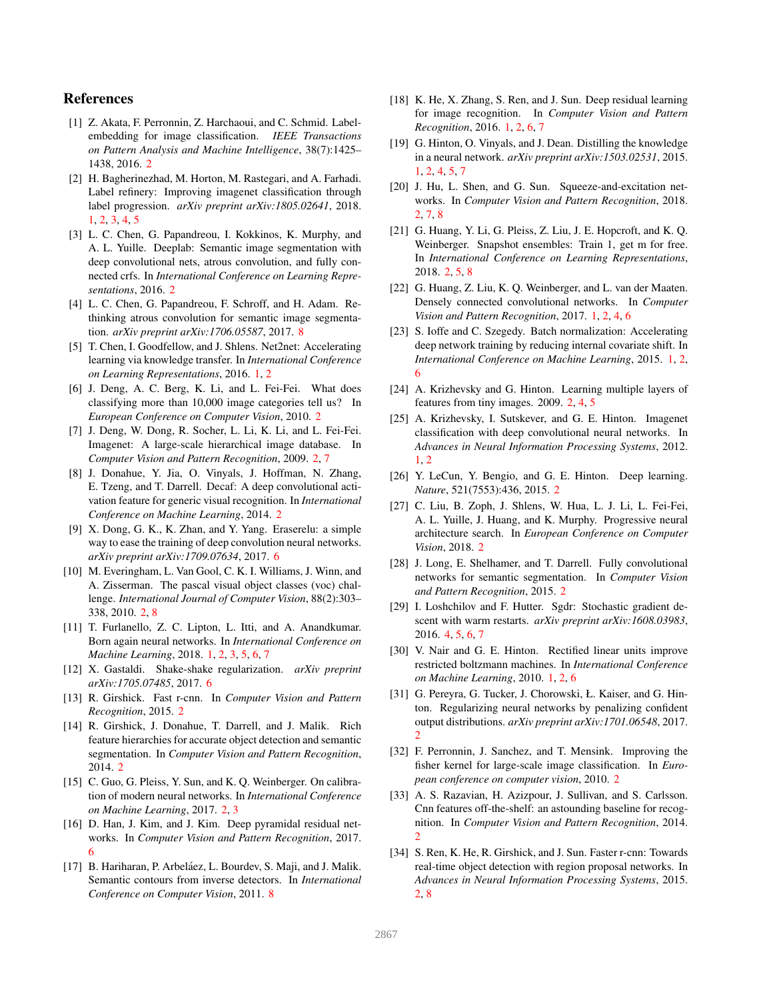# References

- [1] Z. Akata, F. Perronnin, Z. Harchaoui, and C. Schmid. Labelembedding for image classification. *IEEE Transactions on Pattern Analysis and Machine Intelligence*, 38(7):1425– 1438, 2016. 2
- [2] H. Bagherinezhad, M. Horton, M. Rastegari, and A. Farhadi. Label refinery: Improving imagenet classification through label progression. *arXiv preprint arXiv:1805.02641*, 2018. 1, 2, 3, 4, 5
- [3] L. C. Chen, G. Papandreou, I. Kokkinos, K. Murphy, and A. L. Yuille. Deeplab: Semantic image segmentation with deep convolutional nets, atrous convolution, and fully connected crfs. In *International Conference on Learning Representations*, 2016. 2
- [4] L. C. Chen, G. Papandreou, F. Schroff, and H. Adam. Rethinking atrous convolution for semantic image segmentation. *arXiv preprint arXiv:1706.05587*, 2017. 8
- [5] T. Chen, I. Goodfellow, and J. Shlens. Net2net: Accelerating learning via knowledge transfer. In *International Conference on Learning Representations*, 2016. 1, 2
- [6] J. Deng, A. C. Berg, K. Li, and L. Fei-Fei. What does classifying more than 10,000 image categories tell us? In *European Conference on Computer Vision*, 2010. 2
- [7] J. Deng, W. Dong, R. Socher, L. Li, K. Li, and L. Fei-Fei. Imagenet: A large-scale hierarchical image database. In *Computer Vision and Pattern Recognition*, 2009. 2, 7
- [8] J. Donahue, Y. Jia, O. Vinyals, J. Hoffman, N. Zhang, E. Tzeng, and T. Darrell. Decaf: A deep convolutional activation feature for generic visual recognition. In *International Conference on Machine Learning*, 2014. 2
- [9] X. Dong, G. K., K. Zhan, and Y. Yang. Eraserelu: a simple way to ease the training of deep convolution neural networks. *arXiv preprint arXiv:1709.07634*, 2017. 6
- [10] M. Everingham, L. Van Gool, C. K. I. Williams, J. Winn, and A. Zisserman. The pascal visual object classes (voc) challenge. *International Journal of Computer Vision*, 88(2):303– 338, 2010. 2, 8
- [11] T. Furlanello, Z. C. Lipton, L. Itti, and A. Anandkumar. Born again neural networks. In *International Conference on Machine Learning*, 2018. 1, 2, 3, 5, 6, 7
- [12] X. Gastaldi. Shake-shake regularization. *arXiv preprint arXiv:1705.07485*, 2017. 6
- [13] R. Girshick. Fast r-cnn. In *Computer Vision and Pattern Recognition*, 2015. 2
- [14] R. Girshick, J. Donahue, T. Darrell, and J. Malik. Rich feature hierarchies for accurate object detection and semantic segmentation. In *Computer Vision and Pattern Recognition*, 2014. 2
- [15] C. Guo, G. Pleiss, Y. Sun, and K. Q. Weinberger. On calibration of modern neural networks. In *International Conference on Machine Learning*, 2017. 2, 3
- [16] D. Han, J. Kim, and J. Kim. Deep pyramidal residual networks. In *Computer Vision and Pattern Recognition*, 2017. 6
- [17] B. Hariharan, P. Arbeláez, L. Bourdev, S. Maji, and J. Malik. Semantic contours from inverse detectors. In *International Conference on Computer Vision*, 2011. 8
- [18] K. He, X. Zhang, S. Ren, and J. Sun. Deep residual learning for image recognition. In *Computer Vision and Pattern Recognition*, 2016. 1, 2, 6, 7
- [19] G. Hinton, O. Vinyals, and J. Dean. Distilling the knowledge in a neural network. *arXiv preprint arXiv:1503.02531*, 2015. 1, 2, 4, 5, 7
- [20] J. Hu, L. Shen, and G. Sun. Squeeze-and-excitation networks. In *Computer Vision and Pattern Recognition*, 2018. 2, 7, 8
- [21] G. Huang, Y. Li, G. Pleiss, Z. Liu, J. E. Hopcroft, and K. Q. Weinberger. Snapshot ensembles: Train 1, get m for free. In *International Conference on Learning Representations*, 2018. 2, 5, 8
- [22] G. Huang, Z. Liu, K. Q. Weinberger, and L. van der Maaten. Densely connected convolutional networks. In *Computer Vision and Pattern Recognition*, 2017. 1, 2, 4, 6
- [23] S. Ioffe and C. Szegedy. Batch normalization: Accelerating deep network training by reducing internal covariate shift. In *International Conference on Machine Learning*, 2015. 1, 2, 6
- [24] A. Krizhevsky and G. Hinton. Learning multiple layers of features from tiny images. 2009. 2, 4, 5
- [25] A. Krizhevsky, I. Sutskever, and G. E. Hinton. Imagenet classification with deep convolutional neural networks. In *Advances in Neural Information Processing Systems*, 2012. 1, 2
- [26] Y. LeCun, Y. Bengio, and G. E. Hinton. Deep learning. *Nature*, 521(7553):436, 2015. 2
- [27] C. Liu, B. Zoph, J. Shlens, W. Hua, L. J. Li, L. Fei-Fei, A. L. Yuille, J. Huang, and K. Murphy. Progressive neural architecture search. In *European Conference on Computer Vision*, 2018. 2
- [28] J. Long, E. Shelhamer, and T. Darrell. Fully convolutional networks for semantic segmentation. In *Computer Vision and Pattern Recognition*, 2015. 2
- [29] I. Loshchilov and F. Hutter. Sgdr: Stochastic gradient descent with warm restarts. *arXiv preprint arXiv:1608.03983*, 2016. 4, 5, 6, 7
- [30] V. Nair and G. E. Hinton. Rectified linear units improve restricted boltzmann machines. In *International Conference on Machine Learning*, 2010. 1, 2, 6
- [31] G. Pereyra, G. Tucker, J. Chorowski, Ł. Kaiser, and G. Hinton. Regularizing neural networks by penalizing confident output distributions. *arXiv preprint arXiv:1701.06548*, 2017. 2
- [32] F. Perronnin, J. Sanchez, and T. Mensink. Improving the fisher kernel for large-scale image classification. In *European conference on computer vision*, 2010. 2
- [33] A. S. Razavian, H. Azizpour, J. Sullivan, and S. Carlsson. Cnn features off-the-shelf: an astounding baseline for recognition. In *Computer Vision and Pattern Recognition*, 2014. 2
- [34] S. Ren, K. He, R. Girshick, and J. Sun. Faster r-cnn: Towards real-time object detection with region proposal networks. In *Advances in Neural Information Processing Systems*, 2015. 2, 8